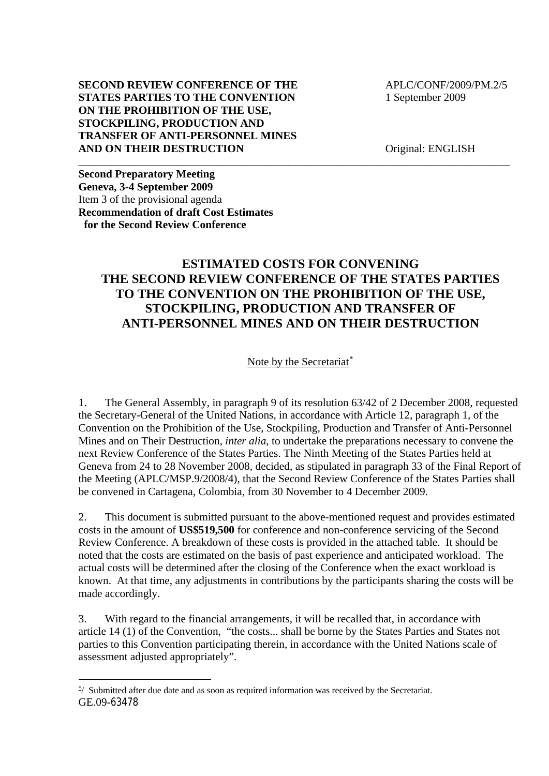### **SECOND REVIEW CONFERENCE OF THE APLC/CONF/2009/PM.2/5 STATES PARTIES TO THE CONVENTION** 1 September 2009 **ON THE PROHIBITION OF THE USE, STOCKPILING, PRODUCTION AND TRANSFER OF ANTI-PERSONNEL MINES AND ON THEIR DESTRUCTION** Original: ENGLISH

**Second Preparatory Meeting Geneva, 3-4 September 2009**  Item 3 of the provisional agenda **Recommendation of draft Cost Estimates for the Second Review Conference** 

## **ESTIMATED COSTS FOR CONVENING THE SECOND REVIEW CONFERENCE OF THE STATES PARTIES TO THE CONVENTION ON THE PROHIBITION OF THE USE, STOCKPILING, PRODUCTION AND TRANSFER OF ANTI-PERSONNEL MINES AND ON THEIR DESTRUCTION**

\_\_\_\_\_\_\_\_\_\_\_\_\_\_\_\_\_\_\_\_\_\_\_\_\_\_\_\_\_\_\_\_\_\_\_\_\_\_\_\_\_\_\_\_\_\_\_\_\_\_\_\_\_\_\_\_\_\_\_\_\_\_\_\_\_\_\_\_\_\_\_\_\_\_\_\_\_\_

Note by the Secretariat<sup>\*</sup>

1. The General Assembly, in paragraph 9 of its resolution 63/42 of 2 December 2008, requested the Secretary-General of the United Nations, in accordance with Article 12, paragraph 1, of the Convention on the Prohibition of the Use, Stockpiling, Production and Transfer of Anti-Personnel Mines and on Their Destruction, *inter alia*, to undertake the preparations necessary to convene the next Review Conference of the States Parties. The Ninth Meeting of the States Parties held at Geneva from 24 to 28 November 2008, decided, as stipulated in paragraph 33 of the Final Report of the Meeting (APLC/MSP.9/2008/4), that the Second Review Conference of the States Parties shall be convened in Cartagena, Colombia, from 30 November to 4 December 2009.

2. This document is submitted pursuant to the above-mentioned request and provides estimated costs in the amount of **US\$519,500** for conference and non-conference servicing of the Second Review Conference. A breakdown of these costs is provided in the attached table. It should be noted that the costs are estimated on the basis of past experience and anticipated workload. The actual costs will be determined after the closing of the Conference when the exact workload is known. At that time, any adjustments in contributions by the participants sharing the costs will be made accordingly.

3. With regard to the financial arrangements, it will be recalled that, in accordance with article 14 (1) of the Convention, "the costs... shall be borne by the States Parties and States not parties to this Convention participating therein, in accordance with the United Nations scale of assessment adjusted appropriately".

<span id="page-0-0"></span>GE.09-63478 ∗ / Submitted after due date and as soon as required information was received by the Secretariat.

1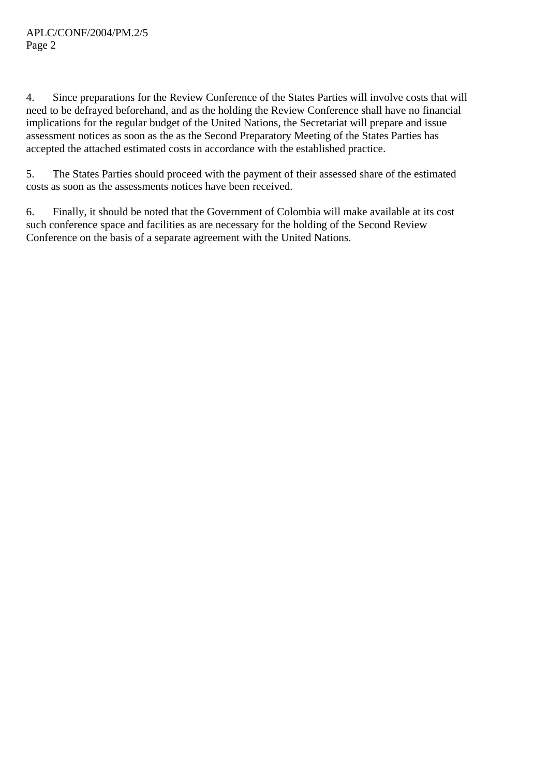4. Since preparations for the Review Conference of the States Parties will involve costs that will need to be defrayed beforehand, and as the holding the Review Conference shall have no financial implications for the regular budget of the United Nations, the Secretariat will prepare and issue assessment notices as soon as the as the Second Preparatory Meeting of the States Parties has accepted the attached estimated costs in accordance with the established practice.

5. The States Parties should proceed with the payment of their assessed share of the estimated costs as soon as the assessments notices have been received.

6. Finally, it should be noted that the Government of Colombia will make available at its cost such conference space and facilities as are necessary for the holding of the Second Review Conference on the basis of a separate agreement with the United Nations.